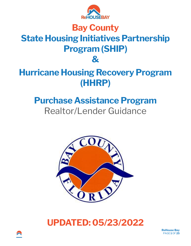

## **Bay County State Housing Initiatives Partnership Program (SHIP) &**

# **Hurricane Housing Recovery Program (HHRP)**

# **Purchase Assistance Program**  Realtor/Lender Guidance



## **UPDATED: 05/23/2022**

**ReHouse Bay**  PAGE **1** OF **25**

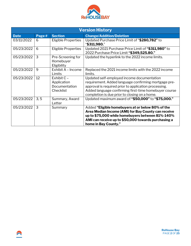

| <b>Version History</b> |       |                                                            |                                                                                                                                                                                                                                                                       |  |  |  |  |
|------------------------|-------|------------------------------------------------------------|-----------------------------------------------------------------------------------------------------------------------------------------------------------------------------------------------------------------------------------------------------------------------|--|--|--|--|
| <b>Date</b>            | Page# | <b>Section</b>                                             | <b>Change/Addition/Deletion</b>                                                                                                                                                                                                                                       |  |  |  |  |
| 03/11/2022             | 6     | <b>Eligible Properties</b>                                 | Updated Purchase Price Limit of "\$280,782" to<br>"\$311,980."                                                                                                                                                                                                        |  |  |  |  |
| 05/23/2022             | 6     | <b>Eligible Properties</b>                                 | Updated 2021 Purchase Price Limit of "\$311,980" to<br>2022 Purchase Price Limit "\$349,525.80."                                                                                                                                                                      |  |  |  |  |
| 05/23/2022             | 3     | Pre-Screening for<br>Homebuyer<br>Eligibility              | Updated the hyperlink to the 2022 income limits.                                                                                                                                                                                                                      |  |  |  |  |
| 05/23/2022             | 9     | Exhibit A - Income<br>Limits                               | Replaced the 2021 income limits with the 2022 income<br>limits.                                                                                                                                                                                                       |  |  |  |  |
| 05/23/2022             | 12    | Exhibit $C -$<br>Application<br>Documentation<br>Checklist | Updated self-employed income documentation<br>requirement. Added language confirming mortgage pre-<br>approval is required prior to application processing.<br>Added language confirming first-time homebuyer course<br>completion is due prior to closing on a home. |  |  |  |  |
| 05/23/2022             | 3, 5  | Summary, Award<br>Letter                                   | Updated maximum award of "\$50,000" to "\$75,000."                                                                                                                                                                                                                    |  |  |  |  |
| 05/23/2022             | 3     | Summary                                                    | Added "Eligible homebuyers at or below 80% of the<br>Area Median Income (AMI) for Bay County can receive<br>up to \$75,000 while homebuyers between 81%-140%<br>AMI can receive up to \$50,000 towards purchasing a<br>home in Bay County."                           |  |  |  |  |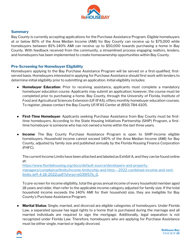

#### **Summary**

Bay County is currently accepting applications for the Purchase Assistance Program. Eligible homebuyers at or below 80% of the Area Median Income (AMI) for Bay County can receive up to \$75,000 while homebuyers between 81%-140% AMI can receive up to \$50,000 towards purchasing a home in Bay County. With feedback received from the community, a streamlined process engaging realtors, lenders, and homebuyers has been implemented to create homeownership opportunities within Bay County.

## **Pre-Screening for Homebuyer Eligibility**

Homebuyers applying to the Bay Purchase Assistance Program will be served on a first-qualified, firstserved basis. Homebuyers interested in applying for Purchase Assistance should first work with lenders to determine initial eligibility prior to submitting an application. Initial eligibility includes:

- **Homebuyer Education**: Prior to receiving assistance, applicants must complete a mandatory homebuyer education course. Applicants may submit an application; however, the course must be completed prior to purchasing a home. Bay County, through the University of Florida, Institute of Food and Agricultural Sciences Extension (UF/IFAS), offers monthly homebuyer education courses. To register, please contact the Bay County UF/IFAS Center at (850) 784-6105.
- **First-Time Homebuyer**: Applicants seeking Purchase Assistance from Bay County must be firsttime homebuyers. According to the State Housing Initiatives Partnership (SHIP) Program, a firsttime homebuyer is someone who has not owned a home within the last three years.
- **Income**: The Bay County Purchase Assistance Program is open to SHIP-income eligible homebuyers. Household income cannot exceed 140% of the Area Median Income (AMI) for Bay County, adjusted by family size and published annually by the Florida Housing Finance Corporation (FHFC).

The current Income Limits have been attached and labeled as Exhibit A, and they can be found online at:

[https://www.floridahousing.org/docs/default-source/developers-and-property](https://www.floridahousing.org/docs/default-source/developers-and-property-managers/compliance/limits/income-limits/ship-and-hhrp---2022-combined-income-and-rent-limits-(eff-4-18-2022).pdf?sfvrsn=e039f57b_0)[managers/compliance/limits/income-limits/ship-and-hhrp---2022-combined-income-and-rent](https://www.floridahousing.org/docs/default-source/developers-and-property-managers/compliance/limits/income-limits/ship-and-hhrp---2022-combined-income-and-rent-limits-(eff-4-18-2022).pdf?sfvrsn=e039f57b_0)[limits-\(eff-4-18-2022\).pdf?sfvrsn=e039f57b\\_0.](https://www.floridahousing.org/docs/default-source/developers-and-property-managers/compliance/limits/income-limits/ship-and-hhrp---2022-combined-income-and-rent-limits-(eff-4-18-2022).pdf?sfvrsn=e039f57b_0)

To pre-screen for income eligibility, total the gross annual income of every household member aged 18 years and older, then refer to the applicable income category adjusted for family size. If the total household income exceeds the 140% AMI for their household size, they are ineligible for Bay County's Purchase Assistance Program.

● **Marital Status**: Single, married, and divorced are eligible categories of homebuyers. Under Florida Law, a separated spouse has legal rights to a home that is purchased during the marriage and all married individuals are required to sign the mortgage. Additionally, legal separation is not recognized under Florida Law. Therefore, homebuyers who are applying for Purchase Assistance must be either single, married or legally divorced.



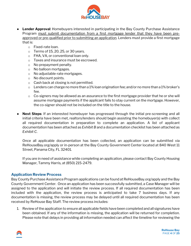

- **Lender Approval:** Homebuyers interested in participating in the Bay County Purchase Assistance Program must submit documentation from a first mortgage lender that they have been preapproved or pre-qualified prior to submitting an application. Lenders must provide a first mortgage that is:
	- o Fixed-rate loan.
	- $\circ$  Terms of 15, 20, 25, or 30 years.
	- o FHA, VA, or conventional loan only.
	- o Taxes and insurance must be escrowed.
	- o No prepayment penalty.
	- o No balloon mortgages.
	- o No adjustable-rate mortgages.
	- o No discount points.
	- o Cash back at closing is not permitted.
	- o Lenders can charge no more than a 1% loan origination fee; and/or no more than a 1% broker's fee.
	- $\circ$  Co-signers may be allowed as an assurance to the first mortgage provider that he or she will assume mortgage payments if the applicant fails to stay current on the mortgage. However, the co-signer should not be included on the title to the house.
- **Next Steps**: If an interested homebuyer has progressed through the initial pre-screening and all initial criteria have been met, realtors/lenders should begin assisting the homebuyer(s) with collect all required documentation in preparation to complete an application. A list of applicant documentation has been attached as *Exhibit B* and a documentation checklist has been attached as *Exhibit C*.

Once all applicable documentation has been collected, an application can be submitted via ReHouseBay.org/apply or in-person at the Bay County Government Center located at 840 West 11 Street, Panama City, FL 32401.

If you are in need of assistance while completing an application, please contact Bay County Housing Manager, Tammy Harris, at (850) 215-2479.

#### **Application Review Process**

Bay County Purchase Assistance Program applications can be found at ReHouseBay.org/apply and the Bay County Government Center. Once an application has been successfully submitted, a Case Manager will be assigned to the application and will initiate the review process. If all required documentation has been included with the application, the review process is anticipated to take 7 business days. If any documentation is missing, the review process may be delayed until all required documentation has been received by ReHouse Bay Staff. The review process includes:

1. Review of the application to ensure all applicable fields have been completed and all signatures have been obtained. If any of the information is missing, the application will be returned for completion. Please note that delays in providing all information needed can affect the timeline for reviewing the

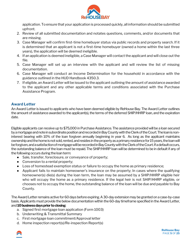

application. To ensure that your application is processed quickly, all information should be submitted upfront.

- 2. Review of all submitted documentation and notates questions, comments, and/or documents that are missing.
- 3. Case Manager will confirm first-time homebuyer status via public records and property search. If it is determined that an applicant is not a first-time homebuyer (owned a home within the last three years), the application will be deemed ineligible.
- 4. If an application is deemed ineligible, a Case Manager will contact the applicant and will close outthe file.
- 5. Case Manager will set up an interview with the applicant and will review the list of missing documentation.
- 6. Case Manager will conduct an Income Determination for the household in accordance with the guidance outlined in the HUD Handbook 4350.3.
- 7. If eligible, an Award Letter will be issued to the applicant outlining the amount of assistance awarded to the applicant and any other applicable terms and conditions associated with the Purchase Assistance Program.

## **Award Letter**

An Award Letter is issued to applicants who have been deemed eligible by ReHouse Bay. The Award Letter outlines the amount of assistance awarded to the applicant(s), the terms of the deferred SHIP/HHRP loan, and the expiration date.

Eligible applicants can receive up to \$75,000 in Purchase Assistance. The assistance provided will be a loan secured by a mortgage and note in subordinate position and recorded in Bay County with the Clerk of the Court. The loan is noninterest bearing with 10% of the loan forgiven annually beginning in year 6. As long as the applicant maintains ownership and the home is not sold, rented, and resides in the property as a primary residence for 15 years, the loan will be forgiven, and a satisfaction of mortgage will be recorded in Bay County with the Clerk of the Court. If a default occurs, the outstanding balance of the loan must be repaid. The SHIP/HHRP loan will be determined to be in default if any of the following occurs during the loan term:

- Sale, transfer, foreclosure, or conveyance of property;
- Conversion to a rental property;
- Loss of homestead exemption status or failure to occupy the home as primary residence;
- Applicant fails to maintain homeowner's insurance on the property; In cases where the qualifying homeowner(s) die(s) during the loan term, the loan may be assumed by a SHIP/HHRP eligible heir who will occupy the home as a primary residence. If the legal heir is not SHIP/HHRP eligible, or chooses not to occupy the home, the outstanding balance of the loan will be due and payable to Bay County.

The Award Letter remains active for 60 days before expiring. A 30-day extension may be granted on a case-by-case basis. Applicants must provide the below documentation within the 60-day timeframe specified in the Award Letter, and **10 business days prior to closing**:

- a. Signed first mortgage loan application (Form 1003)
- b. Underwriting & Transmittal Summary
- c. First mortgage loan commitment/Approval letter
- d. Home inspection report(s)/Re-inspection Report(s)



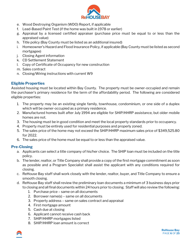

- e. Wood Destroying Organism (WDO) Report, if applicable
- f. Lead-Based Paint Test (if the home was built in 1978 or earlier)
- g. Appraisal by a licensed certified appraiser (purchase price must be equal to or less than the appraised value)
- h. Title policy (Bay County must be listed as an additional insured)
- i. Homeowner's Hazard and Flood Insurance Policy, if applicable (Bay County must be listed as second mortgagee)
- j. Closing Agent information
- k. CD Settlement Statement
- l. Copy of Certificate of Occupancy for new construction
- m. Sales contract
- n. Closing/Wiring instructions with current W9

## **Eligible Properties**

Assisted housing must be located within Bay County. The property must be owner-occupied and remain the purchaser's primary residence for the term of the affordability period. The following are considered eligible properties:

- 1. The property may be an existing single family, townhouse, condominium, or one side of a duplex which will be owner-occupied as a primary residence.
- 2. Manufactured homes built after July 1994 are eligible for SHIP/HHRP assistance, but older mobile homes are not.
- 3. The housing must be in good condition and meet the local property standards prior to occupancy.
- 4. Property must be entirely used for residential purposes and properly zoned.
- 5. The sales price of the home may not exceed the SHIP/HHRP maximum sales price of \$349,525.80 for 2022.
- 6. The sales price of the home must be equal to or less than the appraised value.

## **Pre-Closing**

- a. Applicants can select a title company of his/her choice. The SHIP loan must be included on the title policy.
- b. The lender, realtor, or Title Company shall provide a copy of the first mortgage commitment as soon as possible and a Program Specialist shall assist the applicant with any conditions required for closing.
- c. ReHouse Bay staff shall work closely with the lender, realtor, buyer, and Title Company to ensure a smooth closing.
- d. ReHouse Bay staff shall review the preliminary loan documents a minimum of 3 business days prior to closing and all final documents within 24 hours prior to closing. Staff will also review the following:
	- 1. Purchase price same on all documents
	- 2. Borrower name(s) same on all documents
	- 3. Property address same on sales contract and appraisal
	- 4. First mortgage amount
	- 5. Cash due at closing
	- 6. Applicant cannot receive cash back
	- 7. SHIP/HHRP mortgages listed
	- 8. SHIP/HHRP loan amount is correct

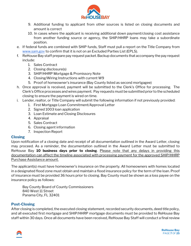

- 9. Additional funding to applicant from other sources is listed on closing documents and amount is correct
- 10. In cases where the applicant is receiving additional down payment/closing cost assistance from another funding source or agency, the SHIP/HHRP loans may take a subordinate position.
- e. If federal funds are combined with SHIP funds, Staff must pull a report on the Title Company fro[m](http://www.sam.gov/) [www.sam.gov](http://www.sam.gov/) to confirm that it is not on an Excluded Parties List (EPLS).
- f. ReHouse Bay staff prepare pay request packet. Backup documents that accompany the pay request include:
	- 1. Sales Contract
	- 2. Closing disclosure(s)
	- 3. SHIP/HHRP Mortgage & Promissory Note
	- 4. Closing/Wiring Instructions with current W9
	- 5. Proof of homeowner's insurance (Bay County listed as second mortgagee)
- h. Once approval is received, payment will be submitted to the Clerk's Office for processing. The Clerk's Office processes and wires payment. Pay requests must be submitted prior to the scheduled closing to ensure the payment is wired on time.
- i. Lender, realtor, or Title Company will submit the following information if not previously provided:
	- 1. First Mortgage Loan Commitment/Approval Letter
	- 2. Signed 1003 loan application
	- 3. Loan Estimate and Closing Disclosures
	- 4. Appraisal
	- 5. Sales Contract
	- 6. Closing agent information
	- 7. Inspection Report

#### **Closing**

Upon notification of a closing date and receipt of all documentation outlined in the Award Letter, closing may proceed. As a reminder, the documentation outlined in the Award Letter must be submitted to ReHouse Bay **10 business days prior to closing**. Please note that any delays in providing this documentation can affect the timeline associated with processing payment for the approved SHIP/HHRP Purchase Assistance amount.

The applicant(s) must have homeowner's insurance on the property. All homeowners with homes located in a designated flood zone must obtain and maintain a flood insurance policy for the term of the loan. Proof of insurance must be provided 36 hours prior to closing. Bay County must be shown as a loss payee on the insurance policy as follows:

Bay County Board of County Commissioners 840 West 11 Street Panama City, FL 32401

#### **Post-Closing**

After closing is completed, the executed closing statement, recorded security documents, deed title policy, and all executed first mortgage and SHIP/HHRP mortgage documents must be provided to ReHouse Bay staff within 30 days. Once all documents have been received, ReHouse Bay Staff will conduct a final review

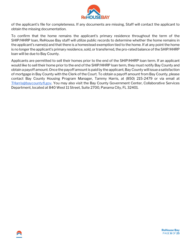

of the applicant's file for completeness. If any documents are missing, Staff will contact the applicant to obtain the missing documentation.

To confirm that the home remains the applicant's primary residence throughout the term of the SHIP/HHRP loan, ReHouse Bay staff will utilize public records to determine whether the home remains in the applicant's name(s) and that there is a homestead exemption tied to the home. If at any point the home is no longer the applicant's primary residence, sold, or transferred, the pro-rated balance of the SHIP/HHRP loan will be due to Bay County.

Applicants are permitted to sell their homes prior to the end of the SHIP/HHRP loan term. If an applicant would like to sell their home prior to the end of the SHIP/HHRP loan term, they must notify Bay County and obtain a payoff amount. Once the payoff amount is paid by the applicant, Bay County will issue a satisfaction of mortgage in Bay County with the Clerk of the Court. To obtain a payoff amount from Bay County, please contact Bay County Housing Program Manager, Tammy Harris, at (850) 215-2479 or via email at [THarris@baycountyfl.gov.](mailto:THarris@baycountyfl.gov) You may also visit the Bay County Government Center, Collaborative Services Department, located at 840 West 11 Street, Suite 2700, Panama City, FL 32401.

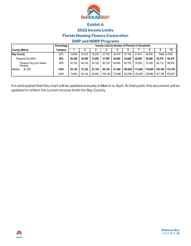

## **Exhibit A**

#### **2022 Income Limits**

**Florida Housing Finance Corporation**

## **SHIP and HHRP Programs**

|                                   | Percentage | Income Limit by Number of Persons in Household |        |        |         |         |         |         |         |         |              |
|-----------------------------------|------------|------------------------------------------------|--------|--------|---------|---------|---------|---------|---------|---------|--------------|
| County (Metro)                    | Category   |                                                |        |        |         |         |         |         |         |         | 10           |
| <b>Bay County</b>                 | 30%        | 15.800                                         | 18.310 | 23.030 | 27.750  | 32.470  | 37.190  | 41.910  | 46.630  |         | Refer to HUD |
| (Panama City MSA;                 | 50%        | 26.300                                         | 30.050 | 33,800 | 37,550  | 40,600  | 43.600  | 46.600  | 49,600  | 52,570  | 55,574       |
| Panama City-Lynn Haven-<br>Panama | 80%        | 42.100                                         | 48,100 | 54.100 | 60.100  | 64,950  | 69.750  | 74,550  | 79.350  | 84,112  | 88,918       |
| Median:<br>67.200                 | 120%       | 63.120                                         | 72.120 | 81.120 | 90.120  | 97.440  | 104.640 | 111,840 | 119.040 | 126.168 | 133.378      |
|                                   | 140%       | 73.640                                         | 84,140 | 94.640 | 105,140 | 113,680 | 122,080 | 130,480 | 138.880 | 147,196 | 155.607      |

It is anticipated that this chart will be updated annually in March or April. At that point, this document will be updated to reflect the current income limits for Bay County.

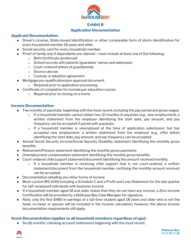

## **Exhibit B**

## **Application Documentation**

## **Applicant Documentation:**

- Driver's License, State-issued identification, or other comparable form of photo identification for every household member 18 years and older.
- Social security card for every household member.
- Proof of family size if dependents are claimed must include at least one of the following:
	- o Birth Certificate (preferred)
	- o School records with parents'/guardians' names and addresses
	- o Court-ordered letters of guardianship
	- o Divorce decree
	- o Custody or adoption agreement
	- Mortgage pre-qualification/pre-approval document.
		- o Required prior to application processing.
- Certificate of completion for homebuyer education course.
	- o Required prior to closing on a home.

## **Income Documentation:**

- Two months of paystubs, beginning with the most recent, including the pay period and gross wages.
	- $\circ$  If a household member cannot obtain two (2) months of paystubs (e.g., new employment), a written statement from the employer identifying the start date, pay amount, and pay frequency can be accepted if paired with paystubs.
	- o If a household member is unemployed at the time of application submission, but has accepted new employment, a written statement from the employer (e.g., offer letter) identifying the start date, pay amount, and pay frequency can be accepted.
- Annual Social Security Income/Social Security Disability statement identifying the monthly gross benefits.
- $\bullet$  Retirement/Pension statement identifying the monthly gross payments.
- Unemployment compensation statement identifying the monthly gross benefits.
- Court-ordered child support statement/document identifying the amount received monthly.
	- o If a household member is receiving child support that is not court-ordered, a written statement/document from the household member certifying the monthly amount received can be accepted.
- Documentation detailing any other forms of income.
- Most current IRS 1040 including a Schedule C and a Profit and Loss Statement for the last quarter for self-employed individuals with business income.
- If a household member aged 18 and older states that they do not have any income, a Zero Income Certification will be provided by a ReHouse Bay Case Manager for signature.
- Note, only the first \$480 in earnings of a full-time student aged 18 years and older who is not the head, co-head, or spouse will be included in the income calculation; however, the above income documentation requirements still apply.

## **Asset Documentation (applies to all household members regardless of age):**

● Six (6) months' checking account statements beginning with the most recent.



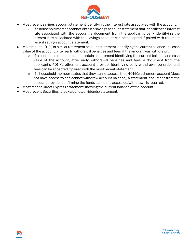

- Most recent savings account statement identifying the interest rate associated with the account.
	- $\circ$  If a household member cannot obtain a savings account statement that identifies the interest rate associated with the account, a document from the applicant's bank identifying the interest rate associated with the savings account can be accepted if paired with the most recent savings account statement.
- Most recent 401(k) or similar retirement account statement identifying the current balance and cash value of the account, after early withdrawal penalties and fees, if the amount was withdrawn.
	- $\circ$  If a household member cannot obtain a statement identifying the current balance and cash value of the account, after early withdrawal penalties and fees, a document from the applicant's 401(k)/retirement account provider identifying early withdrawal penalties and fees can be accepted if paired with the most recent statement.
	- $\circ$  If a household member states that they cannot access thee 401(k)/retirement account (does not have access to and cannot withdraw account balance), a statement/document from the account provider confirming the funds cannot be accessed/withdrawn is required.
- Most recent Direct Express statement showing the current balance of the account.
- Most recent Securities (stocks/bonds/dividends) statement.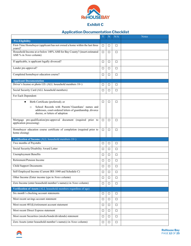

## **Exhibit C**

## **Application Documentation Checklist**

|                                                                                                                                                             | Y      | N      | N/A    | Notes |
|-------------------------------------------------------------------------------------------------------------------------------------------------------------|--------|--------|--------|-------|
| <b>Pre-Eligibility</b>                                                                                                                                      |        |        |        |       |
| First-Time Homebuyer (applicant has not owned a home within the last three                                                                                  | □      | □      | □      |       |
| years)?<br>Household Income at or below 140% AMI for Bay County? (insert estimated<br>AMI % in <i>Notes</i> column)                                         | $\Box$ | $\Box$ | $\Box$ |       |
| If applicable, is applicant legally divorced?                                                                                                               | □      | □      | □      |       |
| Lender pre-approval?                                                                                                                                        | $\Box$ | $\Box$ | $\Box$ |       |
| Completed homebuyer education course?                                                                                                                       | □      | □      | $\Box$ |       |
| <b>Applicant Documentation</b>                                                                                                                              |        |        |        |       |
| Driver's license or photo I.D. (ALL household members 18+)                                                                                                  | □      | □      | □      |       |
| Social Security Card (ALL household members)                                                                                                                | □      | □      | □      |       |
| For Each Dependent:                                                                                                                                         |        |        |        |       |
| Birth Certificate (preferred); or<br>$\bullet$                                                                                                              | □      | □      | $\Box$ |       |
| School Records with Parents'/Guardians' names and<br>$\circ$<br>addresses, court-ordered letters of guardianship, divorce<br>decree, or letters of adoption |        |        |        |       |
| Mortgage pre-qualification/pre-approval document (required prior to<br>application processing)                                                              | $\Box$ | □      | $\Box$ |       |
| Homebuyer education course certificate of completion (required prior to<br>home closing)                                                                    | □      | □      | □      |       |
| Verification of Income (ALL household members 18+)                                                                                                          |        |        |        |       |
| Two months of Paystubs                                                                                                                                      | □      | □      | □      |       |
| Social Security/Disability Award Letter                                                                                                                     | □      | □      | $\Box$ |       |
| <b>Unemployment Benefits</b>                                                                                                                                | $\Box$ | $\Box$ | $\Box$ |       |
| Retirement/Pension Income                                                                                                                                   | □      | $\Box$ | $\Box$ |       |
| <b>Child Support Documents</b>                                                                                                                              | □      | □      | □      |       |
| Self-Employed Income (Current IRS 1040 and Schedule C)                                                                                                      | □      | $\Box$ | □      |       |
| Other Income (Enter income type in Notes column)                                                                                                            | □      | □      | □      |       |
| Zero Income (enter household member's name(s) in Notes column)                                                                                              | □      | □      | $\Box$ |       |
| Verification of Assets (ALL household members regardless of age)                                                                                            |        |        |        |       |
| Six month's checking account statements                                                                                                                     | $\Box$ | $\Box$ | $\Box$ |       |
| Most recent savings account statement                                                                                                                       | □      | $\Box$ | $\Box$ |       |
| Most recent 401(k)/retirement account statement                                                                                                             | $\Box$ | $\Box$ | $\Box$ |       |
| Most recent Direct Express statement                                                                                                                        | $\Box$ | $\Box$ | $\Box$ |       |
| Most recent Securities (stocks/bonds/dividends) statement                                                                                                   | □      | $\Box$ | $\Box$ |       |
| Zero Assets (enter household member's name(s) in Notes column)                                                                                              | □      | $\Box$ | $\Box$ |       |

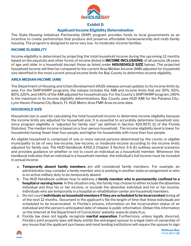

### **Exhibit D**

## **Applicant Income Eligibility Determination**

The State Housing Initiatives Partnership (SHIP) program provides funds to local governments as an incentive to create partnerships that produce and preserve affordable homeownership and multi-family housing. The program is designed to serve very low- to moderate-income families.

#### **INCOME ELIGIBILITY**

Income eligibility is determined by projecting the total household income during the upcoming 12 months based on the paystubs and other forms of income (listed in **INCOME INCLUSIONS**) of all persons 18 years of age and older in a household (except those as listed under **HOUSEHOLD SIZE** below). The projected household income will then be compared to the current Area Median Income (AMI) adjusted for household size identified in the most current annual income limits for Bay County to determine income eligibility.

#### **AREA MEDIAN INCOME (AMI)**

The Department of Housing and Urban Development (HUD) releases annual updates to its income limits by area. For the SHIP/HHRP programs, the release includes the AMI and income limits that are 30%, 50%, 80%, 120%, and 140% of the AMI adjusted for household size. For the County's SHIP/HHRP program, 140% is the maximum in its income eligibility determinations. Bay County uses HUD AMI for the Panama City-Lynn Haven-Panama City Beach, FL HUD Metro Area FMR Area income data.

## **HOUSEHOLD SIZE**

Household size is used for calculating the total household income to determine income eligibility because the income limits are adjusted for household size. It is essential to accurately determine household size, since program eligibility is "adjusted for family size" (as defined in Section 420.9071 (1) of the Florida Statutes). The median income is based on a four-person household. The income eligibility level is lower for households having fewer than four people, and higher for households with more than four people.

An eligible household is comprised of one or more natural persons determined by the county or eligible municipality to be of very low-income, low-income, or moderate-income according to the income limits adjusted for family size. The HUD Handbook 4350.3 Chapter 3 Section 3-6 (E) outlines several scenarios and provides guidance on whether or not to count an individual as a household member. Whenever the handbook indicates that an individual is a household member, the individual's full income must be included in annual income:

- a. **Temporarily absent family members** are still considered family members. For example, an administrator may consider a family member who is working in another state on assignment or who is on active military duty to be temporarily absent.
- b. The HUD Handbook outlines how to address a **family member who is permanently confined to a hospital or nursing home**. In this situation only, the family may choose to either include the absentee individual and thus his or her income, or exclude the absentee individual and his or her income. Individuals who are temporarily in a hospital or rehabilitation center are household members.
- c. Do not count **individuals as household members if they are scheduled to be incarcerated** during all of the next 12 months. Document in the applicant's file the length of time that these individuals are scheduled to be incarcerated. In Florida's prisons, information on the incarceration status of an individual and the person's anticipated date of release is public information. Obtain this information on the Internet at the Department of Corrections' website: www.dc.state.fl.us.
- d. Florida law does not legally recognize **marital separation**. Furthermore, unless legally divorced, Florida's joint property laws will likely entitle the estranged spouse to a legal claim of ownership of any house that the applicant purchases and most lending institutions will require the spouse to sign

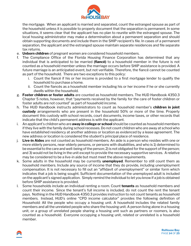

the mortgage. When an applicant is married and separated, count the estranged spouse as part of the household unless it is possible to properly document that the separation is permanent. In some situations, it seems clear that the applicant has no plan to reunite with the estranged spouse. The local housing administrator may make a determination about a permanent separation and should obtain supporting documents and include them in the SHIP recipient's file. In cases of a permanent separation, the applicant and the estranged spouse maintain separate residences and file separate tax returns.

- e. **Unborn children** of pregnant women are considered household members.
- f. The Compliance Office of the Florida Housing Finance Corporation has determined that any individual that is anticipated to be married **(fiancé)** to a household member in the future is not counted as a household member unless the marriage occurs before SHIP assistance is provided. A future marriage is an anticipated event, but not verifiable. Therefore, the fiancé cannot be counted as part of the household. There are two exceptions to this policy:
	- i. Count the fiancé if his or her income is provided to a first mortgage lender to qualify the household to purchase a home.
	- ii. Count the fiancés as a household member including his or her income if he or she currently dwells within the household.
- g. **Foster children or foster adults** are counted as household members. The HUD Handbook 4350.3 Chapter 5 notes, however, that "payments received by the family for the care of foster children or foster adults are not counted" as part of household income.
- h. The HUD Handbook instructs administrators to count as household member's **children in joint custody** arrangements who are present in the household 50% or more of the time. Properly document this custody with school records, court documents, income taxes, or other records that indicate that the child's permanent address is with the applicant.
- i. An applicant's children who are **away in college or school** should be counted as household members if they live with the family during school recesses. Do not count children who are away at school who have established residency at another address or location as evidenced by a lease agreement. The new address or location is considered the student's principal place of residence.
- j. **Live-in Aides** are not counted as household members. An aide is a person who resides with one or more elderly persons, near-elderly persons, or persons with disabilities, and who is 1) determined to be essential to the care and well-being of the person; 2) is not obligated for the support of the person; and 3) would not be living in the unit except to provide the necessary supportive services. A relative may be considered to be a live-in aide but must meet the above requirements.
- k. Some adults in the household may be currently **unemployed**. Remember to still count them as household members. Include any source of income that they do provide, including unemployment compensation. It is not necessary to fill out an "affidavit of unemployment" or similar form which indicates that a job is being sought. Sufficient documentation of the unemployed adult is included on the applicant's signed application. Simply remind the individual to let you know if a job is obtained before SHIP assistance is provided.
- l. Some households include an individual renting a room. Count **tenants** as household members and count their income. Since the tenant's full income is included, do not count the rent the tenant pays. Nothing in the HUD Handbook 4350.3 provides instruction to not count tenants as household members. Instead, HUD's online "CPD income calculator" provides the following definition of Household: All the people who occupy a housing unit. A household includes the related family members and all the unrelated people who share the housing unit. A person living alone in a housing unit, or a group of unrelated people sharing a housing unit such as partners or roomers, is also counted as a household. Everyone occupying a housing unit, related or unrelated is a household member.

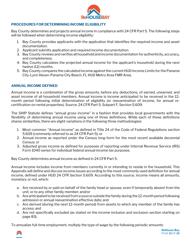

#### **PROCEDURES FOR DETERMINING INCOME ELIGIBILITY**

Bay County determines and projects annual income in compliance with 24 CFR Part 5. The following steps will be followed when determining income eligibility:

- 1. Bay County provides applicants with the application that identifies the required income and asset documentation.
- 2. Applicant submits application and required income documentation.
- 3. Bay County reviews and verifies all household and income documentation for authenticity, accuracy, and completeness.
- 4. Bay County calculates the projected annual income for the applicant's household during the next twelve (12) months.
- 5. Bay County compares the calculated income against the current HUD Income Limits for the Panama City-Lynn Haven-Panama City Beach, FL HUD Metro Area FMR Area.

#### **ANNUAL INCOME DEFINED**

Annual income is a combination of the gross amounts, before any deductions, of earned, unearned, and asset income of all household members. Annual income is income anticipated to be received in the 12 month period following initial determination of eligibility (or reexamination of income, for annual recertification on rental properties). Source: 24 CFR Part 5, Subpart F, Section 5.609.

The SHIP Statute defines "annual gross income" in a fashion that provides local governments with the flexibility of determining annual income using one of three definitions. While each of these definitions shares similarities, there are slight variations in the following three methodologies:

- 1. Most common: "Annual income" as defined in Title 24 of the Code of Federal Regulations section 5.609 (commonly referred to as 24 CFR Part 5); or
- 2. Annual income as reported under the Census long-form for the most recent available decennial Census; or
- 3. Adjusted gross income as defined for purposes of reporting under Internal Revenue Service (IRS) Form 1040 series for individual federal annual income tax purposes.

Bay County determines annual income as defined in 24 CFR Part 5.

Annual income includes income from members currently in or intending to reside in the household. This Appendix will define and discuss income issues according to the most commonly used definition for annual income, defined under HUD 24 CFR Section 5.609. According to this source, income means all amounts, monetary or not, which:

- a. Are received by or paid on behalf of the family head or spouse, even if temporarily absent from the unit, or to any other family member; and/or
- b. Are anticipated to be received from a source outside the family during the 12-month period following admission or annual reexamination effective date; and
- c. Are derived (during the next 12-month period) from assets to which any member of the family has access; and
- d. Are not specifically excluded (as stated on the income inclusion and exclusion section starting on page 83).

To annualize full-time employment*,* multiply the type of wage by the following periodic amounts:

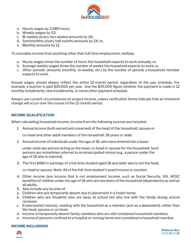

- a. Hourly wages by 2,080 hours;
- b. Weekly wages by 52;
- c. Bi-weekly (every two weeks) amounts by 26;
- d. Semimonthly (every half month) amounts by 24; or,
- e. Monthly amounts by 12.

To annualize income from anything other than full-time employment, multiply:

- a. Hourly wages times the number of hours the household expects to work annually; or,
- b. Average weekly wages times the number of weeks the household expects to work; or,
- c. Other periodic amounts (monthly, bi-weekly, etc.) by the number of periods a household member expects to work.

Annual wages should always reflect the entire 12-month period, regardless of the pay schedule. For example, a teacher is paid \$25,000 per year. Use the \$25,000 figure whether the payment is made in 12 monthly installments, nine installments, or some other payment schedule.

Always use current circumstances to project income, unless verification forms indicate that an imminent change will occur over the course of the 12-month period.

## **INCOME QUALIFICATION**

When calculating household income, income from the following sources are included:

1. Annual income (both earned and unearned) of the head of the household, spouse or

co-head and other adult members of the household, 18 years or older.

2. Annual income of individuals under the age of 18, who have entered into a lease

under state law and are acting as the head, co-head or spouse for the household. Such persons are sometimes referred to as emancipated minors (e.g., a person under the age of 18 who is married).

3. The first \$480 in earnings of a full-time student aged 18 and older who is not the head,

co-head or spouse. Note: All of the full-time student's asset income is counted.

- 4. Other income (any income that is not employment income, such as Social Security, SSI, AFDC benefits) of children under the age of 18 who are members of the household (dependents) as well as all adults.
- 5. Also include any income of:
- a. Children who are temporarily absent due to placement in a foster home.
- b. Children who are Students who are away at school but who live with the family during school recesses.
- c. Emancipated minor(s), residing with the household as a member (and as a dependent), rather than the head, spouse or co-head.
- d. Income of temporarily absent family members who are still considered household members.
- e. Income of persons confined to a hospital or nursing home and considered a household member.

## **INCOME INCLUSIONS**

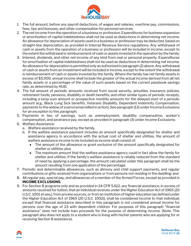

- 1. The full amount, before any payroll deductions, of wages and salaries, overtime pay, commissions, fees, tips and bonuses, and other compensation for personal services;
- 2. The net income from the operation of a business or profession. Expenditures for business expansion or amortization of capital indebtedness shall not be used as deductions in determining net income. An allowance for depreciation of assets used in a business or profession may be deducted, based on straight-line depreciation, as provided in Internal Revenue Service regulations. Any withdrawal of cash or assets from the operation of a business or profession will be included in income, except to the extent the withdrawal is reimbursement of cash or assets invested in the operation by the family;
- 3. Interest, dividends, and other net income of any kind from real or personal property. Expenditures for amortization of capital indebtedness shall not be used as deductions in determining net income. An allowance for depreciation is permitted only as authorized in paragraph (2) above. Any withdrawal of cash or assets from an investment will be included in income, except to the extent the withdrawal is reimbursement of cash or assets invested by the family. Where the family has net family assets in excess of \$5,000, annual income shall include the greater of the actual income derived from all net family assets or a percentage of the value of such assets based on the current passbook savings rate, as determined by HUD;
- 4. The full amount of periodic amounts received from social security, annuities, insurance policies, retirement funds, pensions, disability or death benefits, and other similar types of periodic receipts, including a lump-sum amount or prospective monthly amounts for the delayed start of a periodic amount (e.g., Black Lung Sick benefits, Veterans Disability, Dependent Indemnity Compensation, payments to the widow of a serviceman killed in action). See paragraph (13) under Income Exclusions for an exception to this paragraph;
- 5. Payments in lieu of earnings, such as unemployment, disability compensation, worker's compensation, and severance pay, except as provided in paragraph (3) under Income Exclusions;
- 6. Welfare Assistance:
	- a. Welfare assistance received by the family.
	- b. If the welfare assistance payment includes an amount specifically designated for shelter and assistance agency in accordance with the actual cost of shelter and utilities, the amount of welfare assistance income to be included as income shall consist of:
		- The amount of the allowance or grant exclusive of the amount specifically designated for shelter or utilities; plus
		- The maximum amount that the welfare assistance agency could in fact allow the family for shelter and utilities. If the family's welfare assistance is ratably reduced from the standard of need by applying a percentage, the amount calculated under this paragraph shall be the amount resulting from one application of the percentage.
- 7. Periodic and determinable allowances, such as alimony and child support payments, and regular contributions or gifts received from organizations or from persons not residing in the dwelling; and
- 8. All regular pay, special pay, and allowances of a member of the Armed Forces, except as provided in **INCOME EXCLUSIONS**.
- 9. For Section 8 programs only and as provided in 24 CFR 5.612, any financial assistance, in excess of amounts received for tuition, that an individual receives under the Higher Education Act of 1965 (20 U.S.C. 1001 et seq.), from private sources, or from an institution of higher education (as defined under the Higher Education Act of 1965 (20 U.S.C. 1002)), shall be considered income to that individual, except that financial assistance described in this paragraph is not considered annual income for persons over the age of 23 with dependent children. For purposes of this paragraph "financial assistance" does not include loan proceeds for the purpose of determining income. (Note: This paragraph also does not apply to a student who is living with his/her parents who are applying for or receiving Section 8 assistance).



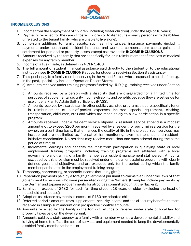

### **INCOME EXCLUSIONS**

- 1. Income from the employment of children (including foster children) under the age of 18 years;
- 2. Payments received for the care of foster children or foster adults (usually persons with disabilities unrelated to the tenant family, who are unable to live alone);
- 3. Lump-sum additions to family assets, such as inheritances, insurance payments (including payments under health and accident insurance and worker's compensation), capital gains, and settlement for personal or property losses, except as provided in **INCOME INCLUSIONS**;
- 4. Amounts received by the family that are specifically for, or in reimbursement of, the cost of medical expenses for any family member;
- 5. Income of a live-in aide, as defined in 24 CFR 5.403;
- 6. The full amount of student financial assistance paid directly to the student or to the educational institution (see **INCOME INCLUSIONS** above, for students receiving Section 8 assistance);
- 7. The special pay to a family member serving in the Armed Forces who is exposed to hostile fire (e.g., in the past, special pay included Operation Desert Storm);
- 8. a) Amounts received under training programs funded by HUD (e.g., training received under Section 3);
	- b) Amounts received by a person with a disability that are disregarded for a limited time for purposes of supplemental security income eligibility and benefits because they are set-aside for use under a Plan to Attain Self-Sufficiency (PASS);
	- c) Amounts received by a participant in other publicly assisted programs that are specifically for or in reimbursement of out-of-pocket expenses incurred (special equipment, clothing, transportation, child-care, etc.) and which are made solely to allow participation in a specific program;
	- d) Amounts received under a resident service stipend. A resident service stipend is a modest amount (not to exceed \$200 per month) received by a resident for performing a service for the owner, on a part-time basis, that enhances the quality of life in the project. Such services may include, but are not limited to, fire patrol, hall monitoring, lawn maintenance, and residentinitiative coordination. No resident may receive more than one such stipend during the same period of time; or
	- e) Incremental earnings and benefits resulting from participation in qualifying state or local employment training programs (including training programs not affiliated with a local government) and training of a family member as a resident management staff person. Amounts excluded by this provision must be received under employment training programs with clearly defined goals and objectives, and are excluded only for the period during which the family member participates in the employment training program.
- 9. Temporary, nonrecurring, or sporadic income (including gifts);
- 10. Reparation payments paid by a foreign government pursuant to claims filed under the laws of that government by persons who were persecuted during the Nazi era. (Examples include payments by the German and Japanese governments for atrocities committed during the Nazi era);
- 11. Earnings in excess of \$480 for each full-time student 18 years or older (excluding the head of household and spouse);
- 12. Adoption assistance payments in excess of \$480 per adopted child;
- 13. Deferred periodic amounts from supplemental security income and social security benefits that are received in a lump-sum amount or in prospective monthly amounts;
- 14. Amounts received by the family in the form of refunds or rebates under state or local law for property taxes paid on the dwelling unit;
- 15. Amounts paid by a state agency to a family with a member who has a developmental disability and is living at home to offset the cost of services and equipment needed to keep the developmentally disabled family member at home; or

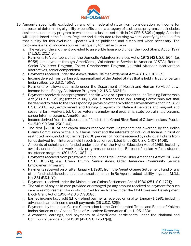

- 16. Amounts specifically excluded by any other federal statute from consideration as income for purposes of determining eligibility or benefits under a category of assistance programs that includes assistance under any program to which the exclusions set forth in 24 CFR 5.609(c) apply. A notice will be published in the Federal Register and distributed to housing owners identifying the benefits that qualify for this exclusion. Updates will be published and distributed when necessary. The following is a list of income sources that qualify for that exclusion:
	- a. The value of the allotment provided to an eligible household under the Food Stamp Act of 1977 (7 U.S.C. 2017 [b]);
	- b. Payments to Volunteers under the Domestic Volunteer Services Act of 1973 (42 U.S.C. 5044(g), 5058) (employment through AmeriCorps, Volunteers in Service to America [VISTA], Retired Senior Volunteer Program, Foster Grandparents Program, youthful offender incarceration alternatives, senior companions);
	- c. Payments received under the Alaska Native Claims Settlement Act (43 U.S.C. 1626[c])
	- d. Income derived from certain sub marginal land of the United States that is held in trust for certain Indian tribes (25 U.S.C. 459e);
	- e. Payments or allowances made under the Department of Health and Human Services' Low-Income Home Energy Assistance Program (42 U.S.C. 8624[f]);
	- f. Payments received under programs funded in whole or in part under the Job Training Partnership Act (29 U.S.C. 1552[b]; (effective July 1, 2000, references to Job Training Partnership Act shall be deemed to refer to the corresponding provision of the Workforce Investment Act of 1998 [29 U.S.C. 2931], e.g., employment and training programs for Native Americans and migrant and seasonal farm workers, Job Corps, veterans employment programs, state job training programs, career intern programs, AmeriCorps);
	- g. Income derived from the disposition of funds to the Grand River Band of Ottawa Indians (Pub. L-94-540, 90 Stat. 2503-04);
	- h. The first \$2,000 of per capita shares received from judgment funds awarded by the Indian Claims Commission or the U. S. Claims Court and the interests of individual Indians in trust or restricted lands, including the first \$2,000 per year of income received by individual Indians from funds derived from interests held in such trust or restricted lands (25 U.S.C. 1407-1408);
	- i. Amounts of scholarships funded under title IV of the Higher Education Act of 1965, including awards under federal work-study programs or under the Bureau of Indian Affairs student assistance programs (20 U.S.C. 1087uu);
	- j. Payments received from programs funded under Title V of the Older Americans Act of 1985 (42 U.S.C. 3056[f]), e.g., Green Thumb, Senior Aides, Older American Community Service Employment Program;
	- k. Payments received on or after January 1, 1989, from the Agent Orange Settlement Fund or any other fund established pursuant to the settlement in In Re Agentproduct liability litigation, M.D.L. No. 381 (E.D.N.Y.);
	- l. Payments received under the Maine Indian Claims Settlement Act of 1980 (25 U.S.C. 1721);
	- m. The value of any child care provided or arranged (or any amount received as payment for such care or reimbursement for costs incurred for such care) under the Child Care and Development Block Grant Act of 1990 (42 U.S.C. 9858q);
	- n. Earned income tax credit (EITC) refund payments received on or after January 1, 1991, including advanced earned income credit payments (26 U.S.C. 32[j]);
	- o. Payments by the Indian Claims Commission to the Confederated Tribes and Bands of Yakima Indian Nation or the Apache Tribe of Mescalero Reservation (Pub. L. 95-433);
	- p. Allowances, earnings, and payments to AmeriCorps participants under the National and Community Service Act of 1990 (42 U.S.C. 12637[d]);

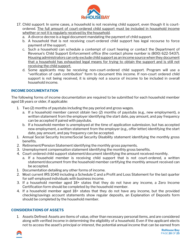

- 17. Child support: In some cases, a household is not receiving child support, even though it is courtordered. The full amount of court-ordered child support must be included in household income whether or not it is regularly received by the household.
	- a. A divorce decree is a legal document mandating the payment of child support.
	- b. A household that is not receiving court-ordered child support has legal recourse to force payment of the support.
	- c. Such a household can schedule a contempt of court hearing or contact the Department of Revenue's Child Support Enforcement office (the contact phone number is (800) 622-5437). Housing administrators can only exclude child support as an income source when they document that a household has exhausted legal means for trying to obtain the support and is still not receiving the child support.
	- d. Some applicants may be receiving non-court-ordered child support. Program will use a "verification of cash contribution" form to document this income. If non-court ordered child support is not being received, it is simply not a source of income to be included in overall household income.

## **INCOME DOCUMENTATION**

The following forms of income documentation are required to be submitted for each household member aged 18 years or older, if applicable:

- 1. Two (2) months of paystubs including the pay period and gross wages.
	- a. If a household member cannot obtain two (2) months of paystubs (e.g., new employment), a written statement from the employer identifying the start date, pay amount, and pay frequency can be accepted if paired with paystubs.
	- b. If a household member is unemployed at the time of application submission, but has accepted new employment, a written statement from the employer (e.g., offer letter) identifying the start date, pay amount, and pay frequency can be accepted.
- 1. Annual Social Security Income/Social Security Disability statement identifying the monthly gross benefits.
- 2. Retirement/Pension Statement identifying the monthly gross payments.
- 3. Unemployment compensation statement identifying the monthly gross benefits.
- 4. Court-ordered child support statement/document identifying the amount received monthly.
	- a. If a household member is receiving child support that is not court-ordered, a written statement/document from the household member certifying the monthly amount received can be accepted.
- 1. Documentation detailing any other forms of income.
- 2. Most current IRS 1040 including a Schedule C and a Profit and Loss Statement for the last quarter for self-employed individuals with business income.
- 3. If a household member aged 18+ states that they do not have any income, a Zero Income Certification form should be completed by the household member.
- 4. If a household member aged 18+ states that they do not have any income, but the provided checking/savings account statements show regular deposits, an Explanation of Deposits form should be completed by the household member.

#### **CONSIDERATIONS OF ASSETS**

1. Assets Defined: Assets are items of value, other than necessary personal items, and are considered along with verified income in determining the eligibility of a household. Even if the applicant elects not to access the asset's principal or interest, the potential annual income that can be earned from



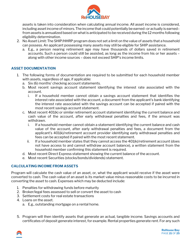

assets is taken into consideration when calculating annual income. All asset income is considered, including asset income of minors. The income that could potentially be earned–or actually is earned– from assets is annualized based on what is anticipated to be received during the 12 months following eligibility determination.

- 2. No Asset Limit: The SHIP/HHRP program does not set a limit on the value of assets that a household can possess. An applicant possessing many assets may still be eligible for SHIP assistance.
	- a. E.g., a person nearing retirement age may have thousands of dollars saved in retirement accounts. Such a person could still be assisted, as long as the income from his or her assets – along with other income sources – does not exceed SHIP's income limits.

## **ASSET DOCUMENTATION**

- 1. The following forms of documentation are required to be submitted for each household member with assets, regardless of age, if applicable:
	- a. Six (6) months' checking account statements.
	- b. Most recent savings account statement identifying the interest rate associated with the account.
		- i. If a household member cannot obtain a savings account statement that identifies the interest rate associated with the account, a document from the applicant's bank identifying the interest rate associated with the savings account can be accepted if paired with the most recent savings account statement.
	- c. Most recent 401(k) or similar retirement account statement identifying the current balance and cash value of the account, after early withdrawal penalties and fees, if the amount was withdrawn.
		- i. If a household member cannot obtain a statement identifying the current balance and cash value of the account, after early withdrawal penalties and fees, a document from the applicant's 401(k)/retirement account provider identifying early withdrawal penalties and fees can be accepted if paired with the most recent statement.
		- ii. If a household member states that they cannot access the  $401(k)/$ retirement account (does not have access to and cannot withdraw account balance), a written statement from the household member confirming this statement is required.
	- d. Most recent Direct Express statement showing the current balance of the account.
	- e. Most recent Securities (stocks/bonds/dividends) statement.

#### **CALCULATING INCOME FROM ASSETS**

Program will calculate the cash value of an asset, or, what the applicant would receive if the asset were converted to cash. The cash value of an asset is its market value minus reasonable costs to be incurred in converting the asset to cash. Expenses which may be deducted include:

- 1. Penalties for withdrawing funds before maturity
- 2. Broker/legal fees assessed to sell or convert the asset to cash
- 3. Settlement costs for real estate transactions
- 4. Loans on the asset.
	- a. E.g., outstanding mortgage on a rental home.
- 5. Program will then identify assets that generate an actual, tangible income. Savings accounts and certificates of deposit generate interest, for example. Rental properties generate rent. For any such

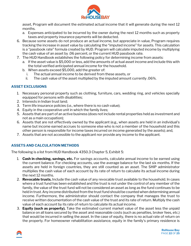

asset, Program will document the estimated actual income that it will generate during the next 12 months.

- a. Expenses anticipated to be incurred by the owner during the next 12 months such as property taxes and property insurance payments will be deducted.
- 6. Because some assets do not produce an actual income, but appreciate in value, Program requires tracking the increase in asset value by calculating the "imputed income" for assets. This calculation is a "passbook rate" formula created by HUD. Program will calculate imputed income by multiplying the cash value of an asset by .06 percent, or the current HUD passbook rate.
- 7. The HUD Handbook establishes the following policy for determining income from assets:
	- a. If the asset value is \$5,000 or less, add the amounts of actual asset income and include this with the total verified anticipated annual income for the household.
	- b. When assets exceed \$5,000, add the greater of:
		- i. The actual annual income to be derived from these assets, or
		- ii. The cash value of the asset multiplied by the imputed amount currently .06%.

## **ASSET EXCLUSIONS**

- 1. Necessary personal property such as clothing, furniture, cars, wedding ring, and vehicles specially equipped for persons with disabilities;
- 2. Interests in Indian trust land;
- 3. Term life insurance policies (i.e., where there is no cash value);
- 4. Equity in the cooperative unit in which the family lives;
- 5. Assets that are part of an active business (does not include rental properties held as investment and not as a main occupation);
- 6. Assets that are not effectively owned by the applicant (e.g., when assets are held in an individual's name but income earned accrues to someone else who is not a member of the household and this other person is responsible for income taxes incurred on income generated by the assets); and,
- 7. Assets that are not accessible to the applicant nor provide any income to the applicant.

## **ASSETS AND CALCULATION METHODS**

The following is a list from HUD Handbook 4350.3 Chapter 5, Exhibit 5:

- 1. **Cash in checking, savings, etc.** For savings accounts, calculate annual income to be earned using the current balance. For checking accounts, use the average balance for the last six months. If the assets are held in foreign countries, they are still counted as an asset. The SHIP administrator multiplies the cash value of each account by its rate of return to calculate its actual income during the next 12 months.
- 2. **Revocable trusts.** Include the cash value of any revocable trust available to the household. In cases where a trust fund has been established and the trust is not under the control of any member of the family, the value of the trust fund will not be considered an asset as long as the fund continues to be held in trust. Any income distributed from the trust fund should be counted when determining annual income. Furthermore, the administrator should contact the company that manages the trust to receive written documentation of the cash value of the trust and its rate of return. Multiply the cash value of each account by its rate of return to calculate its actual income.
- 3. **Equity (such as property).** Take the estimated current market value of the asset less the unpaid balance on all loans secured by the asset and reasonable costs (such as penalties, broker fees, etc.) that would be incurred in selling the asset. In the case of equity, there is no actual rate of return on the property. For homeowner rehabilitation assistance, equity in the family's primary residence is

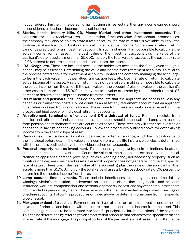

not considered. Further, if the person's main business is real estate, then any income earned should be considered as business income, not asset income.

- 4. **Stocks, bonds, treasury bills, CD, Money Market and other investment accounts.** The administrator should receive written documentation of the cash value of the account. In some cases, the company may also be able to state a rate of return. If a rate of return is available, multiply the cash value of each account by its rate to calculate its actual income. Sometimes a rate of return cannot be predicted for an investment account. In such instances, it is not possible to calculate the actual income from an asset. If the cash value of the investment account plus the value of the applicant's other assets is more than \$5,000, multiply the total value of assets by the passbook rate of .06 percent to determine the imputed income from the assets.
- 5. **IRA, Keogh, etc.** These are included because the holder has access to the funds, even though a penalty may be assessed. Determining the value and income from retirement accounts is similar to the process noted above for investment accounts. Contact the company managing the account(s) to learn the cash value, minus penalties, transaction fees, etc. Use the rate of return to calculate actual income of the asset. A rate of return may not be available, making it impossible to calculate the actual income from the asset. If the cash value of the account(s) plus the value of the applicant's other assets is more than \$5,000, multiply the total value of assets by the passbook rate of .06 percent to determine the imputed income from the assets.
- 6. **Retirement and pension funds.** Include only amounts that the applicant has access to, less any penalties or transaction costs. Do not count as an asset any retirement account that an applicant must retire or resign from work to access. The income from these accounts is determined with the process outlined above for individual retirement accounts.
- 7. **At retirement, termination of employment OR withdrawal of funds.** Periodic receipts from pension and retirement funds are counted as income and should be annualized. Lump sum receipts from pension and retirement funds are counted as assets. These receipts will either be invested or deposited in savings or checking accounts. Follow the procedures outlined above for determining income from the specific type of asset.
- 8. **Cash value of life insurance.** Do not include a value for term insurance, which has no cash value to the individual before death. The value and income from whole life insurance policies is determined with the process outlined above for individual retirement accounts.
- 9. **Personal property held as investment.** This includes gems, jewelry, coin collections, boats, or antique cars held as an investment. Count the value of the asset as determined by an appraisal. Neither an applicant's personal jewelry (such as a wedding band), nor necessary property (such as furniture or a car) are considered assets. Personal property does not generate income at a specific rate of return. Therefore, if the cash value of the account(s) plus the value of the applicant's other assets is more than \$5,000, multiply the total value of assets by the passbook rate of .06 percent to determine the imputed income from the assets.
- 10. **Lump sum/one-time payments.** These include inheritances, capital gains, one-time lottery winnings, victim's restitution, settlements on insurance claims (including health and accident insurance, workers' compensation, and personal or property losses), and any other amounts that are not intended as periodic payments. These receipts will either be invested or deposited in savings or checking accounts. Follow the procedures outlined above for determining income from the specific type of asset.
- 11. **Mortgage or deed of trust held.** Payments on this type of asset are often received as one combined payment of principal and interest with the interest portion counted as income from the asset. This combined figure needs to be separated into specific principal and interest portions of the payment. This can be determined by referring to an amortization schedule that relates to the specific term and interest rate of the mortgage. The principal portion of the payment is a cash asset that will either be

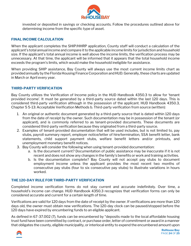

invested or deposited in savings or checking accounts. Follow the procedures outlined above for determining income from the specific type of asset.

#### **FINAL INCOME CALCULATION**

When the applicant completes the SHIP/HHRP application, County staff will conduct a calculation of the applicant's total annual income and compare it to the applicable income limits for jurisdiction and household size. If the applicant's total annual income is well above the income limits, the verification process may be unnecessary. At that time, the applicant will be informed that it appears that the total household income exceeds the program's limits, which would make the household ineligible for assistance.

When providing SHIP assistance, Bay County will always use the most current income limits chart as provided annually by the Florida Housing Finance Corporation and HUD. Generally, these charts are updated in March or April every year.

#### **THIRD-PARTY VERIFICATION**

Bay County utilizes the Verification of Income policy in the HUD Handbook 4350.3 to allow for 'tenant provided income'. It must be generated by a third-party source dated within the last 120 days. This is considered third-party verification although in the possession of the applicant. HUD Handbook 4350.3, Chapter 5 5-13: Acceptable Verification Methods b. Third-party verification from source (written):

- 1. An original or authentic document generated by a third-party source that is dated within 120 days from the date of receipt by the owner. Such documentation may be in possession of the tenant (or applicant), and is commonly referred to as tenant-provided documents. These documents are considered third-party verification because they originated from a third-party source.
- 2. Examples of tenant-provided documentation that will be used includes, but is not limited to, pay stubs, payroll summary report, employer notice/letter of hire/termination, SSA benefit letter, bank statements, child support payment stubs, welfare benefit letters and/or printouts, and unemployment monetary benefit notices.
- 3. Bay County will consider the following when using tenant-provided documentation:
	- a. Is the document current? Documentation of public assistance may be inaccurate if it is not recent and does not show any changes in the family's benefits or work and training activities.
	- b. Is the documentation complete? Bay County will not accept pay stubs to document employment income unless the applicant provides the most recent two months of consecutive pay stubs (four to six consecutive pay stubs) to illustrate variations in hours worked.

#### **THE 120-DAY RULE FOR THIRD-PARTY VERIFICATION**

Completed income verification forms do not stay current and accurate indefinitely. Over time, a household's income can change. HUD Handbook 4350.3 recognizes that verification forms can only be considered accurate and current for a certain length of time.

Verifications are valid for 120 days from the date of receipt by the owner. If verifications are more than 120 days old, the owner must obtain new verifications. The 120-day clock can be paused/stopped before the 120 days have expired by encumbering funds to an eligible applicant.

As defined in 67-37.002 (7), funds can be encumbered by "deposits made to the local affordable housing trust fund have been committed by contract, or purchase order, letter of commitment or award in a manner that obligates the county, eligible municipality, or interlocal entity to expend the encumbered amount upon